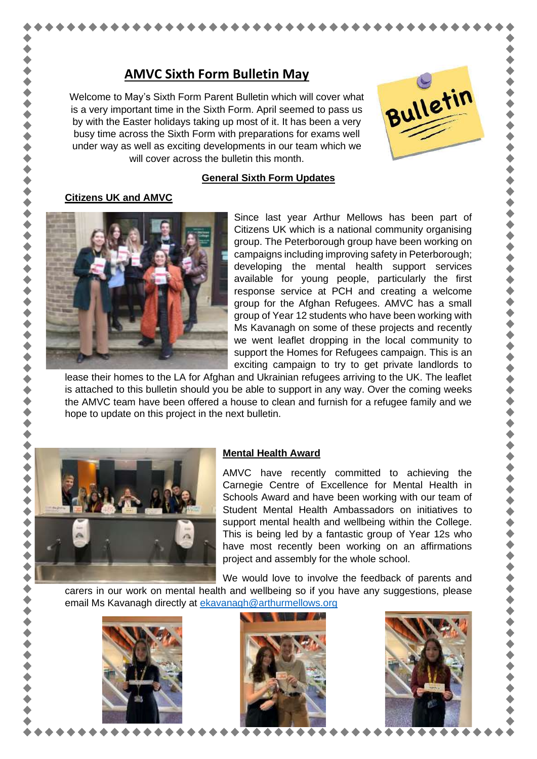# **AMVC Sixth Form Bulletin May**

Welcome to May's Sixth Form Parent Bulletin which will cover what is a very important time in the Sixth Form. April seemed to pass us by with the Easter holidays taking up most of it. It has been a very busy time across the Sixth Form with preparations for exams well under way as well as exciting developments in our team which we will cover across the bulletin this month.



 $\blacklozenge$ 

,,,,,,,,,,,,,,,,,

,,,,,,,,,,,,

...........

#### **General Sixth Form Updates**

#### **Citizens UK and AMVC**



Since last year Arthur Mellows has been part of Citizens UK which is a national community organising group. The Peterborough group have been working on campaigns including improving safety in Peterborough; developing the mental health support services available for young people, particularly the first response service at PCH and creating a welcome group for the Afghan Refugees. AMVC has a small group of Year 12 students who have been working with Ms Kavanagh on some of these projects and recently we went leaflet dropping in the local community to support the Homes for Refugees campaign. This is an exciting campaign to try to get private landlords to

lease their homes to the LA for Afghan and Ukrainian refugees arriving to the UK. The leaflet is attached to this bulletin should you be able to support in any way. Over the coming weeks the AMVC team have been offered a house to clean and furnish for a refugee family and we hope to update on this project in the next bulletin.



 $\blacklozenge$ 

 $\bullet$ 

### **Mental Health Award**

AMVC have recently committed to achieving the Carnegie Centre of Excellence for Mental Health in Schools Award and have been working with our team of Student Mental Health Ambassadors on initiatives to support mental health and wellbeing within the College. This is being led by a fantastic group of Year 12s who have most recently been working on an affirmations project and assembly for the whole school.

We would love to involve the feedback of parents and

carers in our work on mental health and wellbeing so if you have any suggestions, please email Ms Kavanagh directly at [ekavanagh@arthurmellows.org](mailto:ekavanagh@arthurmellows.org)





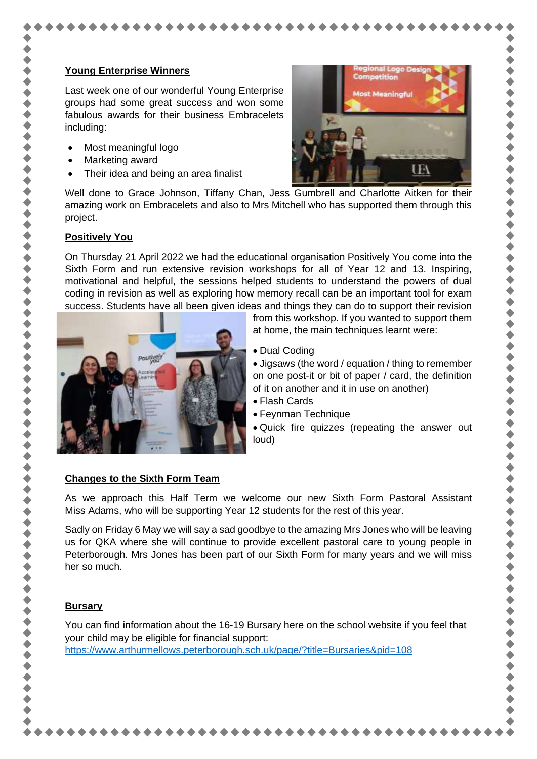Last week one of our wonderful Young Enterprise groups had some great success and won some fabulous awards for their business Embracelets including:

- Most meaningful logo
- Marketing award
- Their idea and being an area finalist



..........

...........

..........

 $\blacklozenge$ 

◆◆◆◆◆

Well done to Grace Johnson, Tiffany Chan, Jess Gumbrell and Charlotte Aitken for their amazing work on Embracelets and also to Mrs Mitchell who has supported them through this project.

### **Positively You**

On Thursday 21 April 2022 we had the educational organisation Positively You come into the Sixth Form and run extensive revision workshops for all of Year 12 and 13. Inspiring, motivational and helpful, the sessions helped students to understand the powers of dual coding in revision as well as exploring how memory recall can be an important tool for exam success. Students have all been given ideas and things they can do to support their revision



from this workshop. If you wanted to support them at home, the main techniques learnt were:

• Dual Coding

• Jigsaws (the word / equation / thing to remember on one post-it or bit of paper / card, the definition of it on another and it in use on another)

- Flash Cards
- Feynman Technique

• Quick fire quizzes (repeating the answer out loud)

# **Changes to the Sixth Form Team**

As we approach this Half Term we welcome our new Sixth Form Pastoral Assistant Miss Adams, who will be supporting Year 12 students for the rest of this year.

Sadly on Friday 6 May we will say a sad goodbye to the amazing Mrs Jones who will be leaving us for QKA where she will continue to provide excellent pastoral care to young people in Peterborough. Mrs Jones has been part of our Sixth Form for many years and we will miss her so much.

# **Bursary**

You can find information about the 16-19 Bursary here on the school website if you feel that your child may be eligible for financial support:

<https://www.arthurmellows.peterborough.sch.uk/page/?title=Bursaries&pid=108>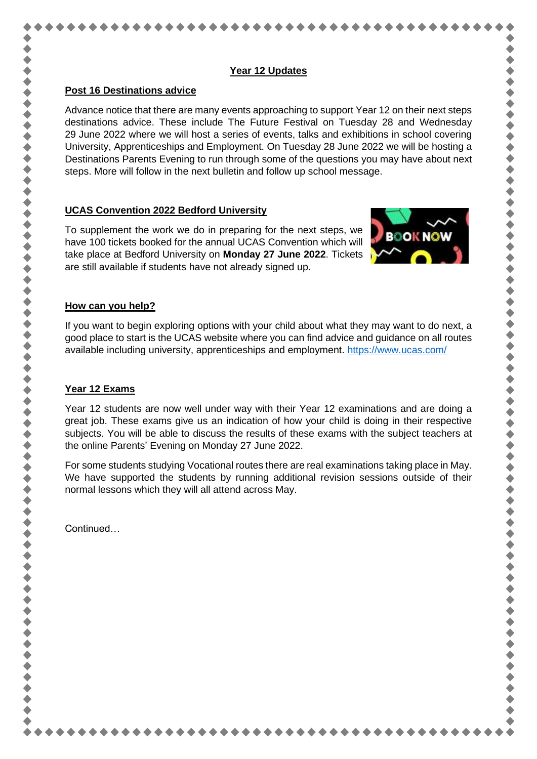### **Year 12 Updates**

### **Post 16 Destinations advice**

Advance notice that there are many events approaching to support Year 12 on their next steps destinations advice. These include The Future Festival on Tuesday 28 and Wednesday 29 June 2022 where we will host a series of events, talks and exhibitions in school covering University, Apprenticeships and Employment. On Tuesday 28 June 2022 we will be hosting a Destinations Parents Evening to run through some of the questions you may have about next steps. More will follow in the next bulletin and follow up school message.

# **UCAS Convention 2022 Bedford University**

To supplement the work we do in preparing for the next steps, we have 100 tickets booked for the annual UCAS Convention which will take place at Bedford University on **Monday 27 June 2022**. Tickets are still available if students have not already signed up.



小小小小小

,,,,,,,,,,,,,,,,,,,,,

# **How can you help?**

If you want to begin exploring options with your child about what they may want to do next, a good place to start is the UCAS website where you can find advice and guidance on all routes available including university, apprenticeships and employment.<https://www.ucas.com/>

# **Year 12 Exams**

Year 12 students are now well under way with their Year 12 examinations and are doing a great job. These exams give us an indication of how your child is doing in their respective subjects. You will be able to discuss the results of these exams with the subject teachers at the online Parents' Evening on Monday 27 June 2022.

For some students studying Vocational routes there are real examinations taking place in May. We have supported the students by running additional revision sessions outside of their normal lessons which they will all attend across May.

Continued…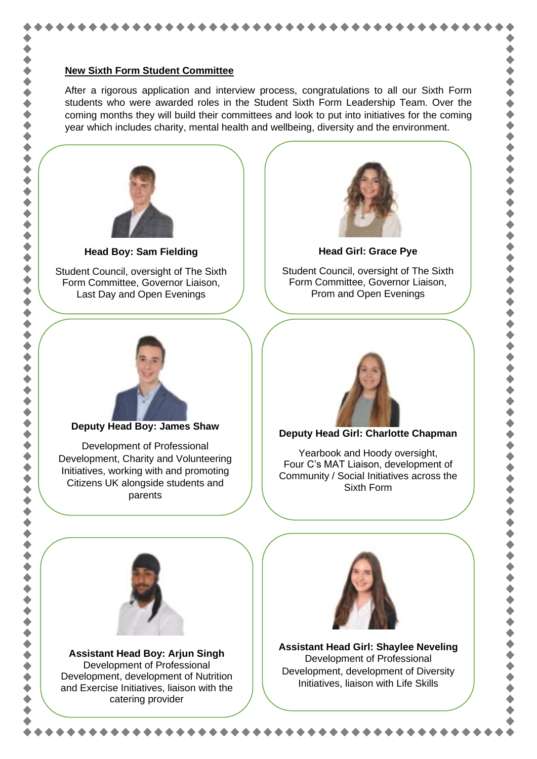#### **New Sixth Form Student Committee**

After a rigorous application and interview process, congratulations to all our Sixth Form students who were awarded roles in the Student Sixth Form Leadership Team. Over the coming months they will build their committees and look to put into initiatives for the coming year which includes charity, mental health and wellbeing, diversity and the environment.



**Head Boy: Sam Fielding**

Student Council, oversight of The Sixth Form Committee, Governor Liaison, Last Day and Open Evenings



Student Council, oversight of The Sixth Form Committee, Governor Liaison, Prom and Open Evenings

**Head Girl: Grace Pye**



**Deputy Head Boy: James Shaw**

Development of Professional Development, Charity and Volunteering Initiatives, working with and promoting Citizens UK alongside students and parents



### **Deputy Head Girl: Charlotte Chapman**

Yearbook and Hoody oversight, Four C's MAT Liaison, development of Community / Social Initiatives across the Sixth Form

 $\blacklozenge$ 



**Assistant Head Boy: Arjun Singh** Development of Professional Development, development of Nutrition and Exercise Initiatives, liaison with the catering provider



**Assistant Head Girl: Shaylee Neveling** Development of Professional Development, development of Diversity Initiatives, liaison with Life Skills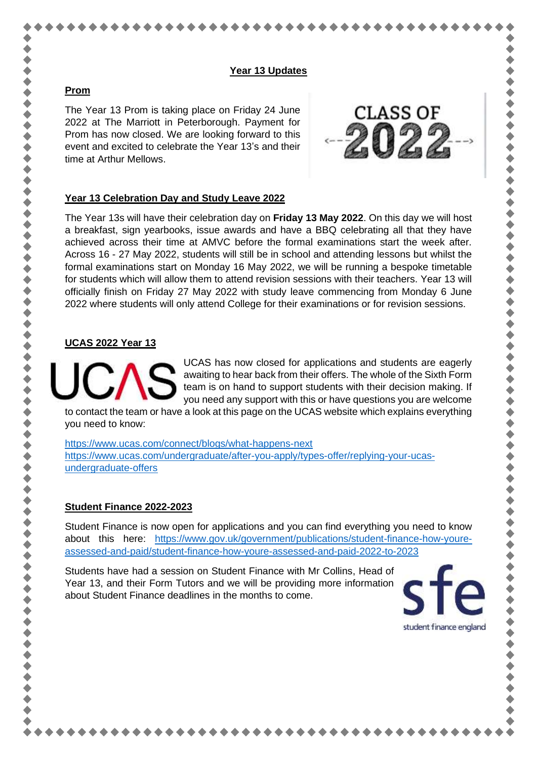### **Year 13 Updates**

# **Prom**

The Year 13 Prom is taking place on Friday 24 June 2022 at The Marriott in Peterborough. Payment for Prom has now closed. We are looking forward to this event and excited to celebrate the Year 13's and their time at Arthur Mellows.



# **Year 13 Celebration Day and Study Leave 2022**

The Year 13s will have their celebration day on **Friday 13 May 2022**. On this day we will host a breakfast, sign yearbooks, issue awards and have a BBQ celebrating all that they have achieved across their time at AMVC before the formal examinations start the week after. Across 16 - 27 May 2022, students will still be in school and attending lessons but whilst the formal examinations start on Monday 16 May 2022, we will be running a bespoke timetable for students which will allow them to attend revision sessions with their teachers. Year 13 will officially finish on Friday 27 May 2022 with study leave commencing from Monday 6 June 2022 where students will only attend College for their examinations or for revision sessions.

# **UCAS 2022 Year 13**



UCAS has now closed for applications and students are eagerly awaiting to hear back from their offers. The whole of the Sixth Form team is on hand to support students with their decision making. If you need any support with this or have questions you are welcome

to contact the team or have a look at this page on the UCAS website which explains everything you need to know:

<https://www.ucas.com/connect/blogs/what-happens-next> [https://www.ucas.com/undergraduate/after-you-apply/types-offer/replying-your-ucas](https://www.ucas.com/undergraduate/after-you-apply/types-offer/replying-your-ucas-undergraduate-offers)[undergraduate-offers](https://www.ucas.com/undergraduate/after-you-apply/types-offer/replying-your-ucas-undergraduate-offers)

# **Student Finance 2022-2023**

Student Finance is now open for applications and you can find everything you need to know about this here: [https://www.gov.uk/government/publications/student-finance-how-youre](https://www.gov.uk/government/publications/student-finance-how-youre-assessed-and-paid/student-finance-how-youre-assessed-and-paid-2022-to-2023)[assessed-and-paid/student-finance-how-youre-assessed-and-paid-2022-to-2023](https://www.gov.uk/government/publications/student-finance-how-youre-assessed-and-paid/student-finance-how-youre-assessed-and-paid-2022-to-2023)

Students have had a session on Student Finance with Mr Collins, Head of Year 13, and their Form Tutors and we will be providing more information about Student Finance deadlines in the months to come.



..........